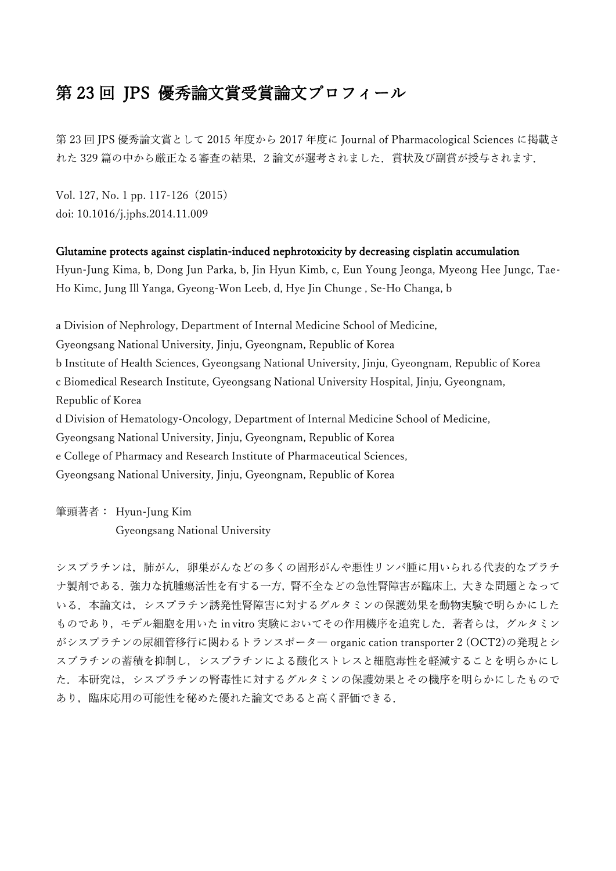## 第 23 回 JPS 優秀論文賞受賞論文プロフィール

第 23 回 JPS 優秀論文賞として 2015 年度から 2017 年度に Journal of Pharmacological Sciences に掲載さ れた 329 篇の中から厳正なる審査の結果,2 論文が選考されました.賞状及び副賞が授与されます.

Vol. 127, No. 1 pp. 117-126(2015) doi: 10.1016/j.jphs.2014.11.009

## Glutamine protects against cisplatin-induced nephrotoxicity by decreasing cisplatin accumulation

Hyun-Jung Kima, b, Dong Jun Parka, b, Jin Hyun Kimb, c, Eun Young Jeonga, Myeong Hee Jungc, Tae-Ho Kimc, Jung Ill Yanga, Gyeong-Won Leeb, d, Hye Jin Chunge , Se-Ho Changa, b

a Division of Nephrology, Department of Internal Medicine School of Medicine, Gyeongsang National University, Jinju, Gyeongnam, Republic of Korea b Institute of Health Sciences, Gyeongsang National University, Jinju, Gyeongnam, Republic of Korea c Biomedical Research Institute, Gyeongsang National University Hospital, Jinju, Gyeongnam, Republic of Korea

d Division of Hematology-Oncology, Department of Internal Medicine School of Medicine,

Gyeongsang National University, Jinju, Gyeongnam, Republic of Korea

e College of Pharmacy and Research Institute of Pharmaceutical Sciences,

Gyeongsang National University, Jinju, Gyeongnam, Republic of Korea

筆頭著者: Hyun-Jung Kim Gyeongsang National University

シスプラチンは,肺がん,卵巣がんなどの多くの固形がんや悪性リンパ腫に用いられる代表的なプラチ ナ製剤である.強力な抗腫瘍活性を有する一方,腎不全などの急性腎障害が臨床上,大きな問題となって いる.本論文は,シスプラチン誘発性腎障害に対するグルタミンの保護効果を動物実験で明らかにした ものであり、モデル細胞を用いた in vitro 実験においてその作用機序を追究した. 著者らは、グルタミン がシスプラチンの尿細管移行に関わるトランスポータ― organic cation transporter 2 (OCT2)の発現とシ スプラチンの蓄積を抑制し,シスプラチンによる酸化ストレスと細胞毒性を軽減することを明らかにし た.本研究は,シスプラチンの腎毒性に対するグルタミンの保護効果とその機序を明らかにしたもので あり,臨床応用の可能性を秘めた優れた論文であると高く評価できる.